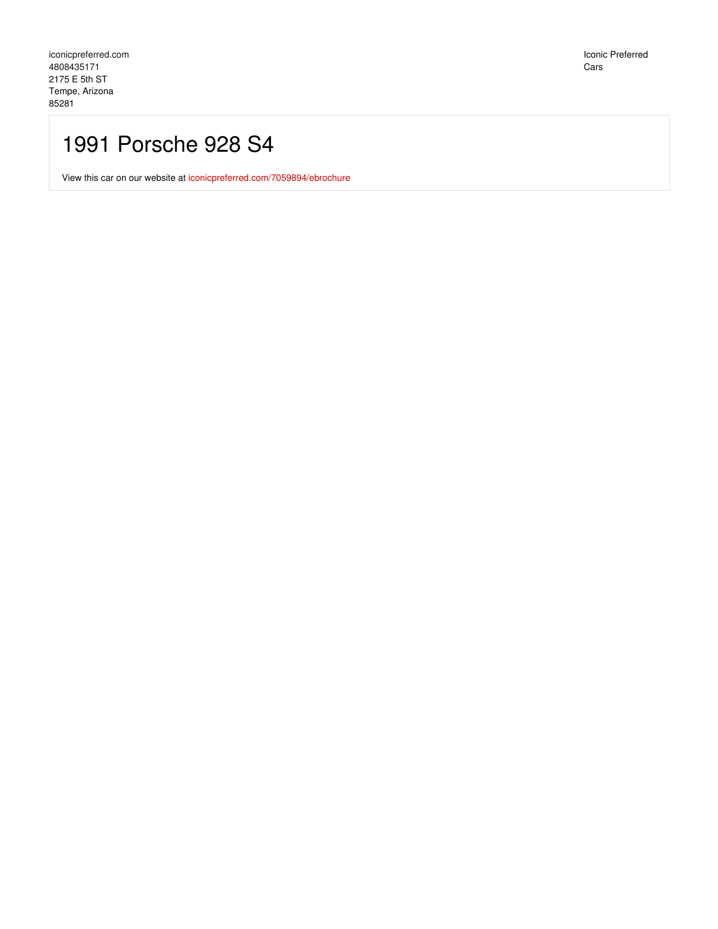Iconic Preferred Cars

## 1991 Porsche 928 S4

View this car on our website at [iconicpreferred.com/7059894/ebrochure](https://iconicpreferred.com/vehicle/7059894/1991-porsche-928-s4-tempe-arizona-85281/7059894/ebrochure)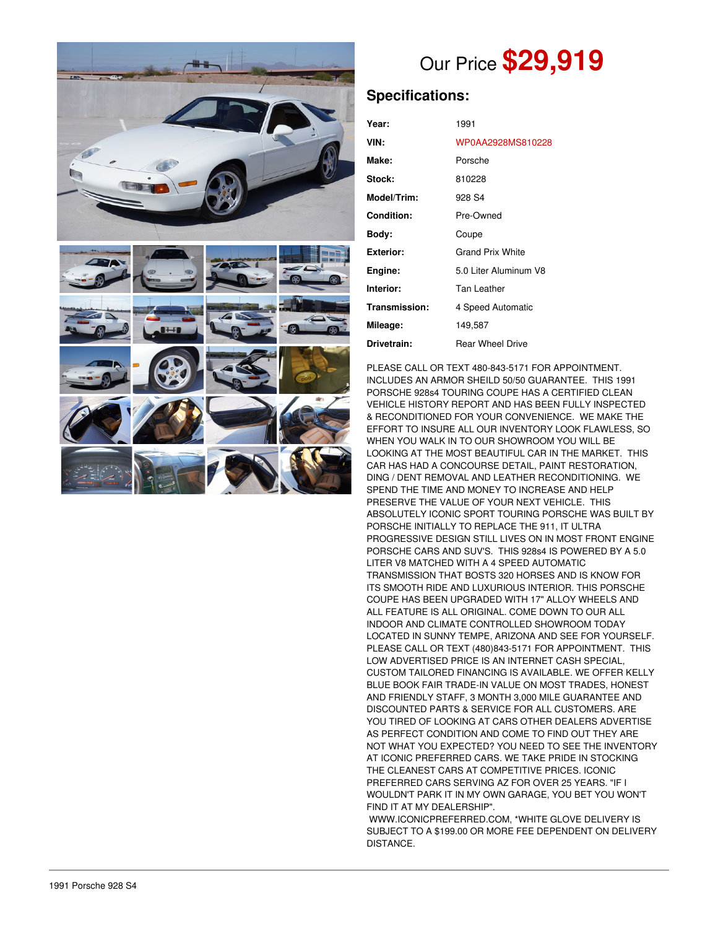



## Our Price **\$29,919**

## **Specifications:**

| Year:             | 1991                    |
|-------------------|-------------------------|
| VIN:              | WP0AA2928MS810228       |
| Make:             | Porsche                 |
| Stock:            | 810228                  |
| Model/Trim:       | 928 S4                  |
| <b>Condition:</b> | Pre-Owned               |
| Body:             | Coupe                   |
| <b>Exterior:</b>  | <b>Grand Prix White</b> |
| Engine:           | 5.0 Liter Aluminum V8   |
| Interior:         | Tan Leather             |
| Transmission:     | 4 Speed Automatic       |
| Mileage:          | 149,587                 |
| Drivetrain:       | Rear Wheel Drive        |

PLEASE CALL OR TEXT 480-843-5171 FOR APPOINTMENT. INCLUDES AN ARMOR SHEILD 50/50 GUARANTEE. THIS 1991 PORSCHE 928s4 TOURING COUPE HAS A CERTIFIED CLEAN VEHICLE HISTORY REPORT AND HAS BEEN FULLY INSPECTED & RECONDITIONED FOR YOUR CONVENIENCE. WE MAKE THE EFFORT TO INSURE ALL OUR INVENTORY LOOK FLAWLESS, SO WHEN YOU WALK IN TO OUR SHOWROOM YOU WILL BE LOOKING AT THE MOST BEAUTIFUL CAR IN THE MARKET. THIS CAR HAS HAD A CONCOURSE DETAIL, PAINT RESTORATION, DING / DENT REMOVAL AND LEATHER RECONDITIONING. WE SPEND THE TIME AND MONEY TO INCREASE AND HELP PRESERVE THE VALUE OF YOUR NEXT VEHICLE. THIS ABSOLUTELY ICONIC SPORT TOURING PORSCHE WAS BUILT BY PORSCHE INITIALLY TO REPLACE THE 911, IT ULTRA PROGRESSIVE DESIGN STILL LIVES ON IN MOST FRONT ENGINE PORSCHE CARS AND SUV'S. THIS 928s4 IS POWERED BY A 5.0 LITER V8 MATCHED WITH A 4 SPEED AUTOMATIC TRANSMISSION THAT BOSTS 320 HORSES AND IS KNOW FOR ITS SMOOTH RIDE AND LUXURIOUS INTERIOR. THIS PORSCHE COUPE HAS BEEN UPGRADED WITH 17" ALLOY WHEELS AND ALL FEATURE IS ALL ORIGINAL. COME DOWN TO OUR ALL INDOOR AND CLIMATE CONTROLLED SHOWROOM TODAY LOCATED IN SUNNY TEMPE, ARIZONA AND SEE FOR YOURSELF. PLEASE CALL OR TEXT (480)843-5171 FOR APPOINTMENT. THIS LOW ADVERTISED PRICE IS AN INTERNET CASH SPECIAL, CUSTOM TAILORED FINANCING IS AVAILABLE. WE OFFER KELLY BLUE BOOK FAIR TRADE-IN VALUE ON MOST TRADES, HONEST AND FRIENDLY STAFF, 3 MONTH 3,000 MILE GUARANTEE AND DISCOUNTED PARTS & SERVICE FOR ALL CUSTOMERS. ARE YOU TIRED OF LOOKING AT CARS OTHER DEALERS ADVERTISE AS PERFECT CONDITION AND COME TO FIND OUT THEY ARE NOT WHAT YOU EXPECTED? YOU NEED TO SEE THE INVENTORY AT ICONIC PREFERRED CARS. WE TAKE PRIDE IN STOCKING THE CLEANEST CARS AT COMPETITIVE PRICES. ICONIC PREFERRED CARS SERVING AZ FOR OVER 25 YEARS. "IF I WOULDN'T PARK IT IN MY OWN GARAGE, YOU BET YOU WON'T FIND IT AT MY DEALERSHIP".

WWW.ICONICPREFERRED.COM, \*WHITE GLOVE DELIVERY IS SUBJECT TO A \$199.00 OR MORE FEE DEPENDENT ON DELIVERY DISTANCE.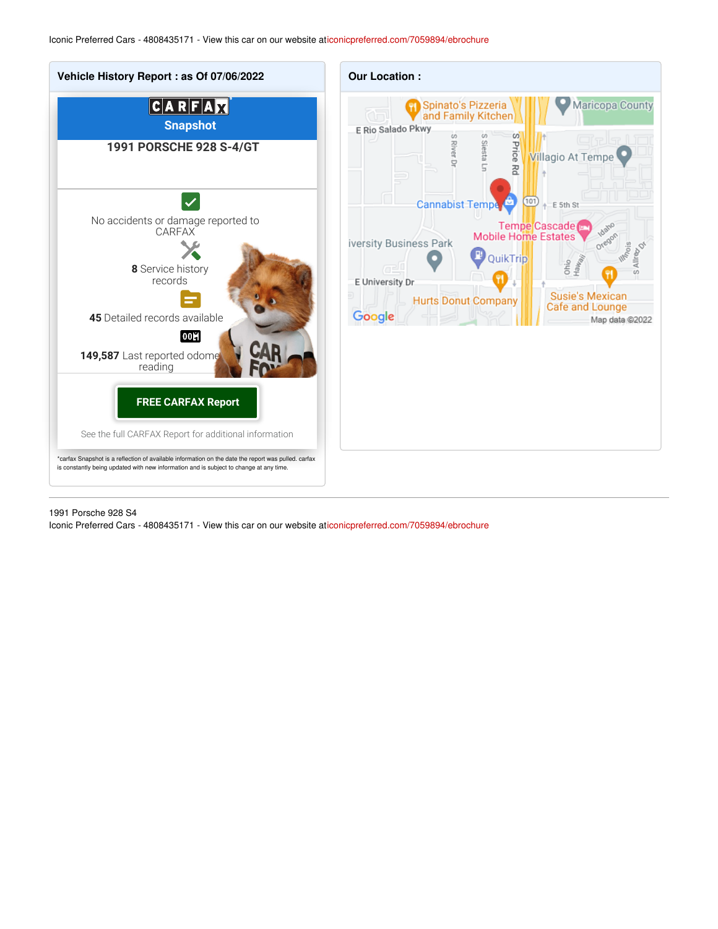

1991 Porsche 928 S4

Iconic Preferred Cars - 4808435171 - View this car on our website a[ticonicpreferred.com/7059894/ebrochure](https://iconicpreferred.com/vehicle/7059894/1991-porsche-928-s4-tempe-arizona-85281/7059894/ebrochure)